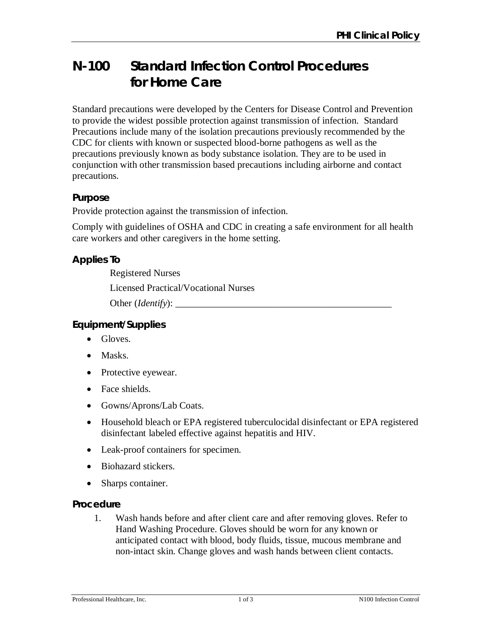# **N-100 Standard Infection Control Procedures for Home Care**

Standard precautions were developed by the Centers for Disease Control and Prevention to provide the widest possible protection against transmission of infection. Standard Precautions include many of the isolation precautions previously recommended by the CDC for clients with known or suspected blood-borne pathogens as well as the precautions previously known as body substance isolation. They are to be used in conjunction with other transmission based precautions including airborne and contact precautions.

## **Purpose**

Provide protection against the transmission of infection.

Comply with guidelines of OSHA and CDC in creating a safe environment for all health care workers and other caregivers in the home setting.

# **Applies To**

Registered Nurses Licensed Practical/Vocational Nurses Other (*Identify*): \_\_\_\_\_\_\_\_\_\_\_\_\_\_\_\_\_\_\_\_\_\_\_\_\_\_\_\_\_\_\_\_\_\_\_\_\_\_\_\_\_\_\_\_\_

## **Equipment/Supplies**

- Gloves.
- Masks.
- Protective eyewear.
- Face shields.
- Gowns/Aprons/Lab Coats.
- Household bleach or EPA registered tuberculocidal disinfectant or EPA registered disinfectant labeled effective against hepatitis and HIV.
- Leak-proof containers for specimen.
- Biohazard stickers.
- Sharps container.

#### **Procedure**

1. Wash hands before and after client care and after removing gloves. Refer to Hand Washing Procedure. Gloves should be worn for any known or anticipated contact with blood, body fluids, tissue, mucous membrane and non-intact skin. Change gloves and wash hands between client contacts.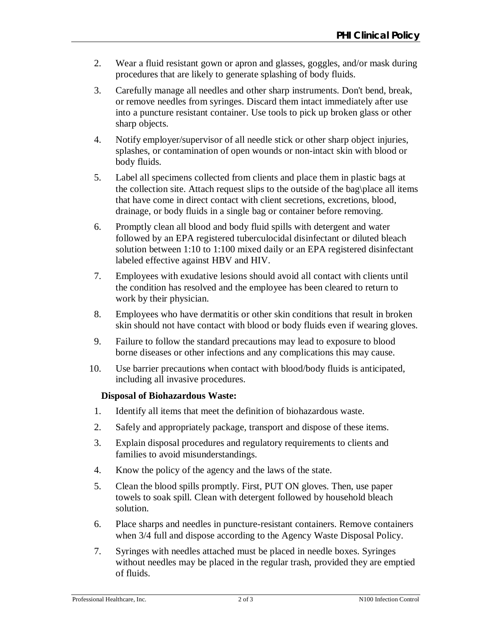- 2. Wear a fluid resistant gown or apron and glasses, goggles, and/or mask during procedures that are likely to generate splashing of body fluids.
- 3. Carefully manage all needles and other sharp instruments. Don't bend, break, or remove needles from syringes. Discard them intact immediately after use into a puncture resistant container. Use tools to pick up broken glass or other sharp objects.
- 4. Notify employer/supervisor of all needle stick or other sharp object injuries, splashes, or contamination of open wounds or non-intact skin with blood or body fluids.
- 5. Label all specimens collected from clients and place them in plastic bags at the collection site. Attach request slips to the outside of the bag\place all items that have come in direct contact with client secretions, excretions, blood, drainage, or body fluids in a single bag or container before removing.
- 6. Promptly clean all blood and body fluid spills with detergent and water followed by an EPA registered tuberculocidal disinfectant or diluted bleach solution between 1:10 to 1:100 mixed daily or an EPA registered disinfectant labeled effective against HBV and HIV.
- 7. Employees with exudative lesions should avoid all contact with clients until the condition has resolved and the employee has been cleared to return to work by their physician.
- 8. Employees who have dermatitis or other skin conditions that result in broken skin should not have contact with blood or body fluids even if wearing gloves.
- 9. Failure to follow the standard precautions may lead to exposure to blood borne diseases or other infections and any complications this may cause.
- 10. Use barrier precautions when contact with blood/body fluids is anticipated, including all invasive procedures.

#### **Disposal of Biohazardous Waste:**

- 1. Identify all items that meet the definition of biohazardous waste.
- 2. Safely and appropriately package, transport and dispose of these items.
- 3. Explain disposal procedures and regulatory requirements to clients and families to avoid misunderstandings.
- 4. Know the policy of the agency and the laws of the state.
- 5. Clean the blood spills promptly. First, PUT ON gloves. Then, use paper towels to soak spill. Clean with detergent followed by household bleach solution.
- 6. Place sharps and needles in puncture-resistant containers. Remove containers when 3/4 full and dispose according to the Agency Waste Disposal Policy.
- 7. Syringes with needles attached must be placed in needle boxes. Syringes without needles may be placed in the regular trash, provided they are emptied of fluids.